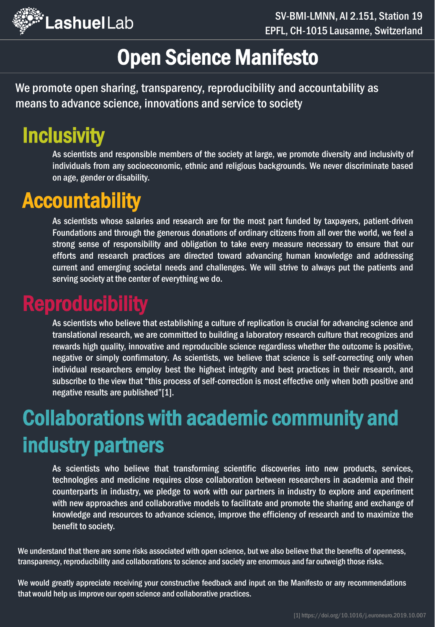

## Open Science Manifesto

We promote open sharing, transparency, reproducibility and accountability as means to advance science, innovations and service to society

# **Inclusivity**

As scientists and responsible members of the society at large, we promote diversity and inclusivity of individuals from any socioeconomic, ethnic and religious backgrounds. We never discriminate based on age, gender or disability.

## **Accountability**

As scientists whose salaries and research are for the most part funded by taxpayers, patient-driven Foundations and through the generous donations of ordinary citizens from all over the world, we feel a strong sense of responsibility and obligation to take every measure necessary to ensure that our efforts and research practices are directed toward advancing human knowledge and addressing current and emerging societal needs and challenges. We will strive to always put the patients and serving society at the center of everything we do.

### **Reproducibility**

As scientists who believe that establishing a culture of replication is crucial for advancing science and translational research, we are committed to building a laboratory research culture that recognizes and rewards high quality, innovative and reproducible science regardless whether the outcome is positive, negative or simply confirmatory. As scientists, we believe that science is self-correcting only when individual researchers employ best the highest integrity and best practices in their research, and subscribe to the view that "this process of self-correction is most effective only when both positive and negative results are published"[1].

# Collaborations with academic community and industry partners

As scientists who believe that transforming scientific discoveries into new products, services, technologies and medicine requires close collaboration between researchers in academia and their counterparts in industry, we pledge to work with our partners in industry to explore and experiment with new approaches and collaborative models to facilitate and promote the sharing and exchange of knowledge and resources to advance science, improve the efficiency of research and to maximize the benefit to society.

We understand that there are some risks associated with open science, but we also believe that the benefits of openness, transparency, reproducibility and collaborations to science and society are enormous and far outweigh those risks.

We would greatly appreciate receiving your constructive feedback and input on the Manifesto or any recommendations that would help us improve our open science and collaborative practices.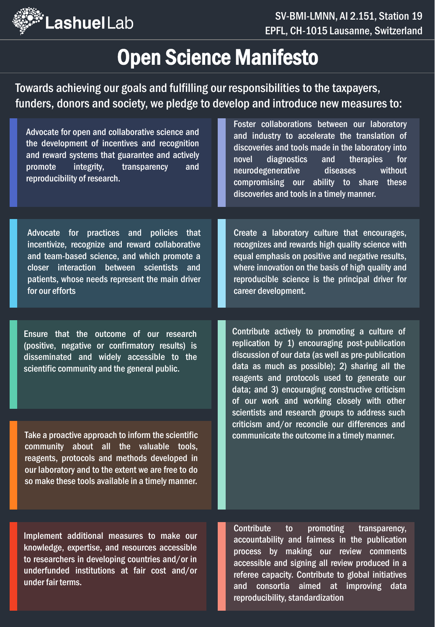

## Open Science Manifesto

Towards achieving our goals and fulfilling our responsibilities to the taxpayers, funders, donors and society, we pledge to develop and introduce new measures to:

| Advocate for open and collaborative science and<br>the development of incentives and recognition<br>and reward systems that guarantee and actively<br>integrity,<br>promote<br>transparency<br>and<br>reproducibility of research.                                  | Foster collaborations between our laboratory<br>and industry to accelerate the translation of<br>discoveries and tools made in the laboratory into<br>diagnostics<br>and<br>therapies<br>novel<br>for<br>neurodegenerative<br>diseases<br>without<br>compromising our ability to share<br>these<br>discoveries and tools in a timely manner.                                                                                                                                                              |
|---------------------------------------------------------------------------------------------------------------------------------------------------------------------------------------------------------------------------------------------------------------------|-----------------------------------------------------------------------------------------------------------------------------------------------------------------------------------------------------------------------------------------------------------------------------------------------------------------------------------------------------------------------------------------------------------------------------------------------------------------------------------------------------------|
|                                                                                                                                                                                                                                                                     |                                                                                                                                                                                                                                                                                                                                                                                                                                                                                                           |
| for practices and policies that<br>Advocate<br>incentivize, recognize and reward collaborative<br>and team-based science, and which promote a<br>closer interaction between scientists<br>and<br>patients, whose needs represent the main driver<br>for our efforts | Create a laboratory culture that encourages,<br>recognizes and rewards high quality science with<br>equal emphasis on positive and negative results,<br>where innovation on the basis of high quality and<br>reproducible science is the principal driver for<br>career development.                                                                                                                                                                                                                      |
|                                                                                                                                                                                                                                                                     |                                                                                                                                                                                                                                                                                                                                                                                                                                                                                                           |
| Ensure that the outcome of our research<br>(positive, negative or confirmatory results) is<br>disseminated and widely accessible to the<br>scientific community and the general public.                                                                             | Contribute actively to promoting a culture of<br>replication by 1) encouraging post-publication<br>discussion of our data (as well as pre-publication<br>data as much as possible); 2) sharing all the<br>reagents and protocols used to generate our<br>data; and 3) encouraging constructive criticism<br>of our work and working closely with other<br>scientists and research groups to address such<br>criticism and/or reconcile our differences and<br>communicate the outcome in a timely manner. |
| Take a proactive approach to inform the scientific<br>community about all the valuable tools,<br>reagents, protocols and methods developed in<br>our laboratory and to the extent we are free to do<br>so make these tools available in a timely manner.            |                                                                                                                                                                                                                                                                                                                                                                                                                                                                                                           |
| Implement additional measures to make our<br>knowledge, expertise, and resources accessible<br>to researchers in developing countries and/or in<br>underfunded institutions at fair cost and/or<br>under fair terms.                                                | <b>Contribute</b><br>promoting<br>transparency,<br>to<br>accountability and fairness in the publication<br>process by making our review comments<br>accessible and signing all review produced in a<br>referee capacity. Contribute to global initiatives<br>consortia aimed at improving data<br>and<br>reproducibility, standardization                                                                                                                                                                 |